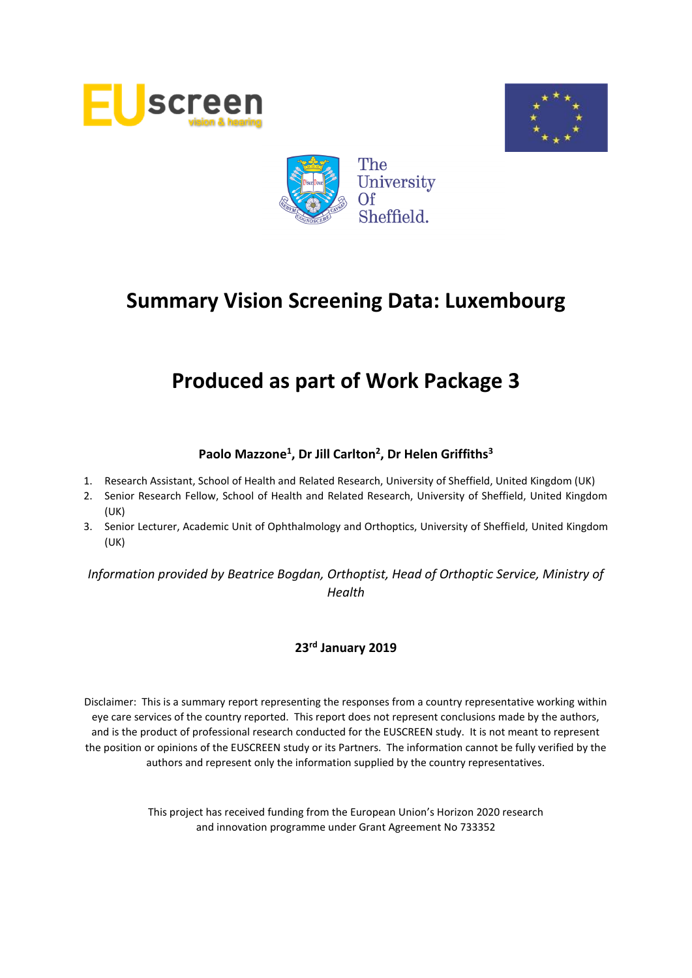





# **Produced as part of Work Package 3**

# **Paolo Mazzone<sup>1</sup> , Dr Jill Carlton<sup>2</sup> , Dr Helen Griffiths<sup>3</sup>**

- 1. Research Assistant, School of Health and Related Research, University of Sheffield, United Kingdom (UK)
- 2. Senior Research Fellow, School of Health and Related Research, University of Sheffield, United Kingdom (UK)
- 3. Senior Lecturer, Academic Unit of Ophthalmology and Orthoptics, University of Sheffield, United Kingdom (UK)

*Information provided by Beatrice Bogdan, Orthoptist, Head of Orthoptic Service, Ministry of Health*

# **23rd January 2019**

Disclaimer: This is a summary report representing the responses from a country representative working within eye care services of the country reported. This report does not represent conclusions made by the authors, and is the product of professional research conducted for the EUSCREEN study. It is not meant to represent the position or opinions of the EUSCREEN study or its Partners. The information cannot be fully verified by the authors and represent only the information supplied by the country representatives.

> This project has received funding from the European Union's Horizon 2020 research and innovation programme under Grant Agreement No 733352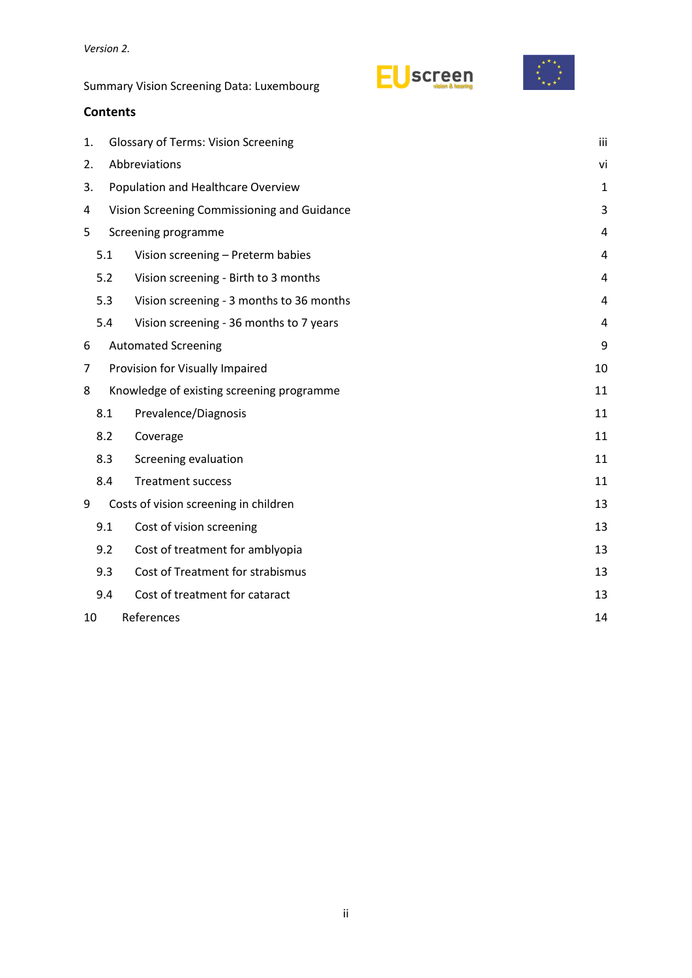# **Contents**

| 1. |                  | <b>Glossary of Terms: Vision Screening</b>  |    |  |  |  |  |
|----|------------------|---------------------------------------------|----|--|--|--|--|
| 2. |                  | Abbreviations                               |    |  |  |  |  |
| 3. |                  | Population and Healthcare Overview          | 1  |  |  |  |  |
| 4  |                  | Vision Screening Commissioning and Guidance | 3  |  |  |  |  |
| 5  |                  | Screening programme                         |    |  |  |  |  |
|    | 5.1              | Vision screening - Preterm babies           | 4  |  |  |  |  |
|    | 5.2              | Vision screening - Birth to 3 months        | 4  |  |  |  |  |
|    | 5.3              | Vision screening - 3 months to 36 months    | 4  |  |  |  |  |
|    | 5.4              | Vision screening - 36 months to 7 years     | 4  |  |  |  |  |
| 6  |                  | <b>Automated Screening</b>                  | 9  |  |  |  |  |
| 7  |                  | Provision for Visually Impaired             | 10 |  |  |  |  |
| 8  |                  | Knowledge of existing screening programme   | 11 |  |  |  |  |
|    | 8.1              | Prevalence/Diagnosis                        | 11 |  |  |  |  |
|    | 8.2              | Coverage                                    | 11 |  |  |  |  |
|    | 8.3              | Screening evaluation                        | 11 |  |  |  |  |
|    | 8.4              | <b>Treatment success</b>                    | 11 |  |  |  |  |
| 9  |                  | Costs of vision screening in children       | 13 |  |  |  |  |
|    | 9.1              | Cost of vision screening                    | 13 |  |  |  |  |
|    | 9.2              | Cost of treatment for amblyopia             | 13 |  |  |  |  |
|    | 9.3              | Cost of Treatment for strabismus            | 13 |  |  |  |  |
|    | 9.4              | Cost of treatment for cataract              | 13 |  |  |  |  |
| 10 | References<br>14 |                                             |    |  |  |  |  |
|    |                  |                                             |    |  |  |  |  |

EUscreen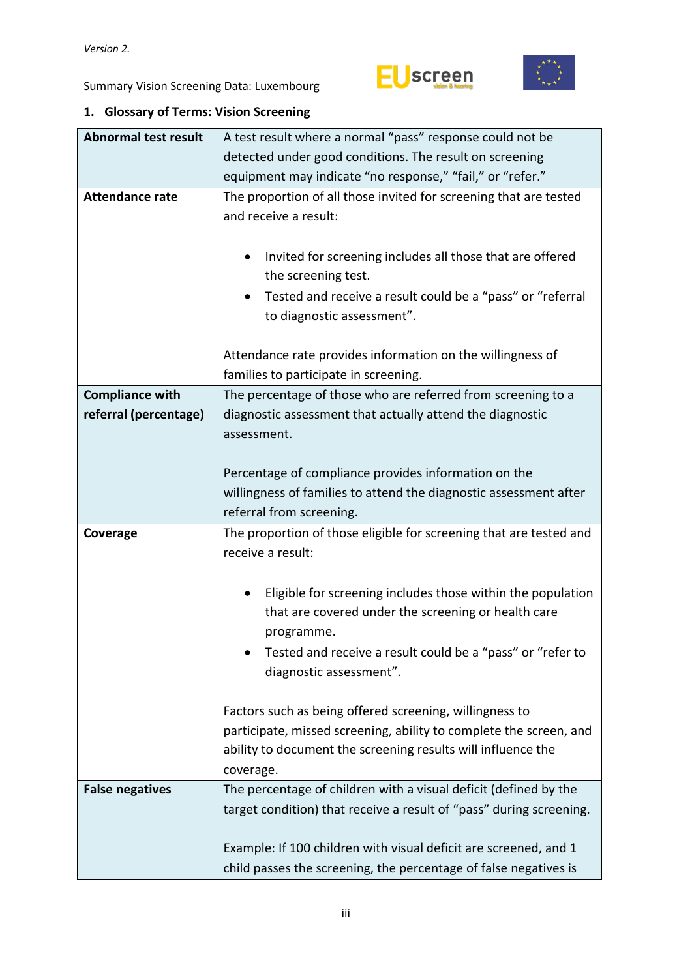

<span id="page-2-0"></span>

|  | 1. Glossary of Terms: Vision Screening |
|--|----------------------------------------|
|--|----------------------------------------|

| <b>Abnormal test result</b> | A test result where a normal "pass" response could not be                               |  |  |  |  |  |  |
|-----------------------------|-----------------------------------------------------------------------------------------|--|--|--|--|--|--|
|                             | detected under good conditions. The result on screening                                 |  |  |  |  |  |  |
|                             | equipment may indicate "no response," "fail," or "refer."                               |  |  |  |  |  |  |
| <b>Attendance rate</b>      | The proportion of all those invited for screening that are tested                       |  |  |  |  |  |  |
|                             | and receive a result:                                                                   |  |  |  |  |  |  |
|                             |                                                                                         |  |  |  |  |  |  |
|                             | Invited for screening includes all those that are offered                               |  |  |  |  |  |  |
|                             | the screening test.                                                                     |  |  |  |  |  |  |
|                             | Tested and receive a result could be a "pass" or "referral                              |  |  |  |  |  |  |
|                             | to diagnostic assessment".                                                              |  |  |  |  |  |  |
|                             |                                                                                         |  |  |  |  |  |  |
|                             | Attendance rate provides information on the willingness of                              |  |  |  |  |  |  |
|                             | families to participate in screening.                                                   |  |  |  |  |  |  |
| <b>Compliance with</b>      | The percentage of those who are referred from screening to a                            |  |  |  |  |  |  |
| referral (percentage)       | diagnostic assessment that actually attend the diagnostic                               |  |  |  |  |  |  |
|                             | assessment.                                                                             |  |  |  |  |  |  |
|                             |                                                                                         |  |  |  |  |  |  |
|                             | Percentage of compliance provides information on the                                    |  |  |  |  |  |  |
|                             | willingness of families to attend the diagnostic assessment after                       |  |  |  |  |  |  |
|                             | referral from screening.                                                                |  |  |  |  |  |  |
| Coverage                    | The proportion of those eligible for screening that are tested and<br>receive a result: |  |  |  |  |  |  |
|                             |                                                                                         |  |  |  |  |  |  |
|                             | Eligible for screening includes those within the population                             |  |  |  |  |  |  |
|                             | that are covered under the screening or health care                                     |  |  |  |  |  |  |
|                             | programme.                                                                              |  |  |  |  |  |  |
|                             | Tested and receive a result could be a "pass" or "refer to                              |  |  |  |  |  |  |
|                             | diagnostic assessment".                                                                 |  |  |  |  |  |  |
|                             |                                                                                         |  |  |  |  |  |  |
|                             | Factors such as being offered screening, willingness to                                 |  |  |  |  |  |  |
|                             | participate, missed screening, ability to complete the screen, and                      |  |  |  |  |  |  |
|                             | ability to document the screening results will influence the                            |  |  |  |  |  |  |
|                             | coverage.                                                                               |  |  |  |  |  |  |
| <b>False negatives</b>      | The percentage of children with a visual deficit (defined by the                        |  |  |  |  |  |  |
|                             | target condition) that receive a result of "pass" during screening.                     |  |  |  |  |  |  |
|                             |                                                                                         |  |  |  |  |  |  |
|                             | Example: If 100 children with visual deficit are screened, and 1                        |  |  |  |  |  |  |
|                             | child passes the screening, the percentage of false negatives is                        |  |  |  |  |  |  |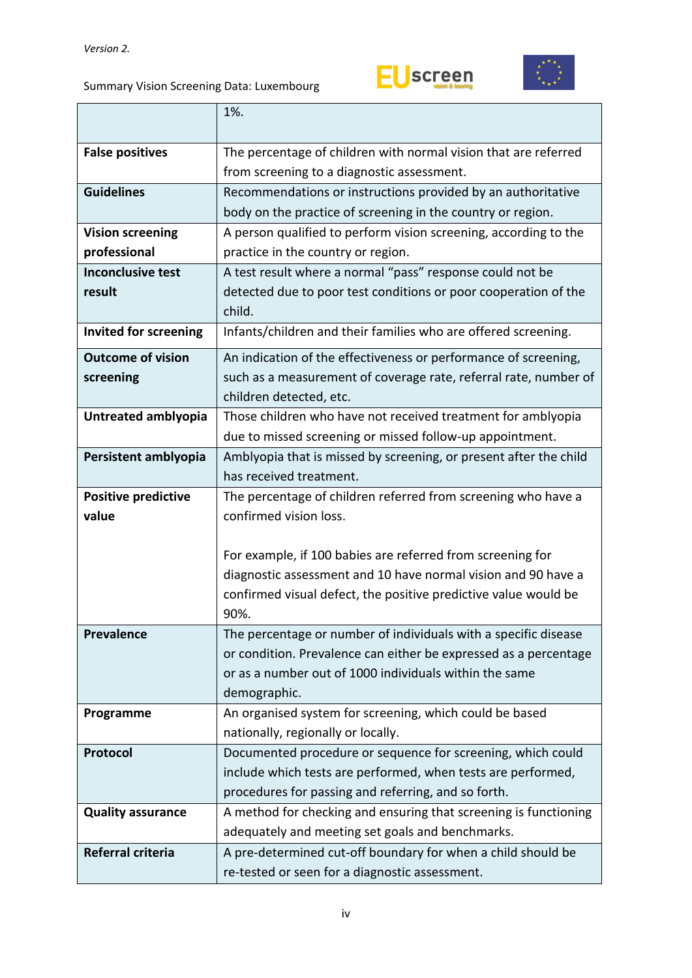



|                              | 1%.                                                                                          |  |  |  |  |
|------------------------------|----------------------------------------------------------------------------------------------|--|--|--|--|
|                              | The percentage of children with normal vision that are referred                              |  |  |  |  |
| <b>False positives</b>       | from screening to a diagnostic assessment.                                                   |  |  |  |  |
| <b>Guidelines</b>            | Recommendations or instructions provided by an authoritative                                 |  |  |  |  |
|                              | body on the practice of screening in the country or region.                                  |  |  |  |  |
| <b>Vision screening</b>      | A person qualified to perform vision screening, according to the                             |  |  |  |  |
| professional                 | practice in the country or region.                                                           |  |  |  |  |
| <b>Inconclusive test</b>     | A test result where a normal "pass" response could not be                                    |  |  |  |  |
| result                       | detected due to poor test conditions or poor cooperation of the                              |  |  |  |  |
|                              | child.                                                                                       |  |  |  |  |
| <b>Invited for screening</b> | Infants/children and their families who are offered screening.                               |  |  |  |  |
|                              |                                                                                              |  |  |  |  |
| <b>Outcome of vision</b>     | An indication of the effectiveness or performance of screening,                              |  |  |  |  |
| screening                    | such as a measurement of coverage rate, referral rate, number of                             |  |  |  |  |
|                              | children detected, etc.                                                                      |  |  |  |  |
| Untreated amblyopia          | Those children who have not received treatment for amblyopia                                 |  |  |  |  |
|                              | due to missed screening or missed follow-up appointment.                                     |  |  |  |  |
| Persistent amblyopia         | Amblyopia that is missed by screening, or present after the child<br>has received treatment. |  |  |  |  |
| <b>Positive predictive</b>   | The percentage of children referred from screening who have a                                |  |  |  |  |
| value                        | confirmed vision loss.                                                                       |  |  |  |  |
|                              |                                                                                              |  |  |  |  |
|                              | For example, if 100 babies are referred from screening for                                   |  |  |  |  |
|                              | diagnostic assessment and 10 have normal vision and 90 have a                                |  |  |  |  |
|                              | confirmed visual defect, the positive predictive value would be                              |  |  |  |  |
|                              | 90%.                                                                                         |  |  |  |  |
| <b>Prevalence</b>            | The percentage or number of individuals with a specific disease                              |  |  |  |  |
|                              | or condition. Prevalence can either be expressed as a percentage                             |  |  |  |  |
|                              | or as a number out of 1000 individuals within the same                                       |  |  |  |  |
|                              | demographic.                                                                                 |  |  |  |  |
| Programme                    | An organised system for screening, which could be based                                      |  |  |  |  |
|                              | nationally, regionally or locally.                                                           |  |  |  |  |
| Protocol                     | Documented procedure or sequence for screening, which could                                  |  |  |  |  |
|                              | include which tests are performed, when tests are performed,                                 |  |  |  |  |
|                              | procedures for passing and referring, and so forth.                                          |  |  |  |  |
| <b>Quality assurance</b>     | A method for checking and ensuring that screening is functioning                             |  |  |  |  |
|                              | adequately and meeting set goals and benchmarks.                                             |  |  |  |  |
| Referral criteria            | A pre-determined cut-off boundary for when a child should be                                 |  |  |  |  |
|                              | re-tested or seen for a diagnostic assessment.                                               |  |  |  |  |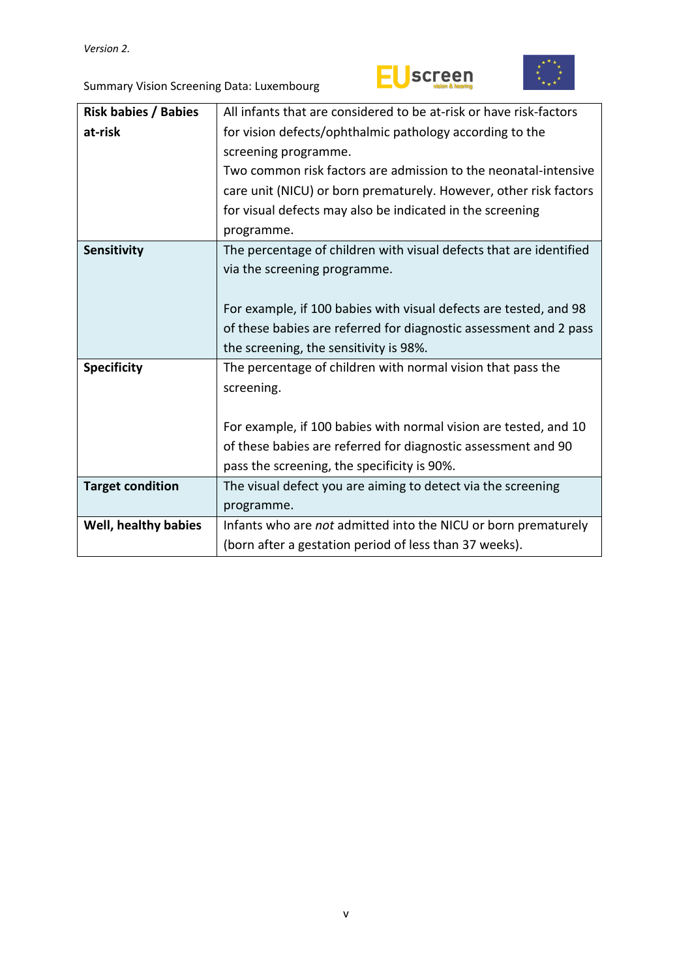



| <b>Risk babies / Babies</b> | All infants that are considered to be at-risk or have risk-factors |  |  |  |
|-----------------------------|--------------------------------------------------------------------|--|--|--|
| at-risk                     | for vision defects/ophthalmic pathology according to the           |  |  |  |
|                             | screening programme.                                               |  |  |  |
|                             | Two common risk factors are admission to the neonatal-intensive    |  |  |  |
|                             | care unit (NICU) or born prematurely. However, other risk factors  |  |  |  |
|                             | for visual defects may also be indicated in the screening          |  |  |  |
|                             | programme.                                                         |  |  |  |
| Sensitivity                 | The percentage of children with visual defects that are identified |  |  |  |
|                             | via the screening programme.                                       |  |  |  |
|                             |                                                                    |  |  |  |
|                             | For example, if 100 babies with visual defects are tested, and 98  |  |  |  |
|                             | of these babies are referred for diagnostic assessment and 2 pass  |  |  |  |
|                             | the screening, the sensitivity is 98%.                             |  |  |  |
| <b>Specificity</b>          | The percentage of children with normal vision that pass the        |  |  |  |
|                             | screening.                                                         |  |  |  |
|                             |                                                                    |  |  |  |
|                             | For example, if 100 babies with normal vision are tested, and 10   |  |  |  |
|                             | of these babies are referred for diagnostic assessment and 90      |  |  |  |
|                             | pass the screening, the specificity is 90%.                        |  |  |  |
| <b>Target condition</b>     | The visual defect you are aiming to detect via the screening       |  |  |  |
|                             | programme.                                                         |  |  |  |
| Well, healthy babies        | Infants who are not admitted into the NICU or born prematurely     |  |  |  |
|                             | (born after a gestation period of less than 37 weeks).             |  |  |  |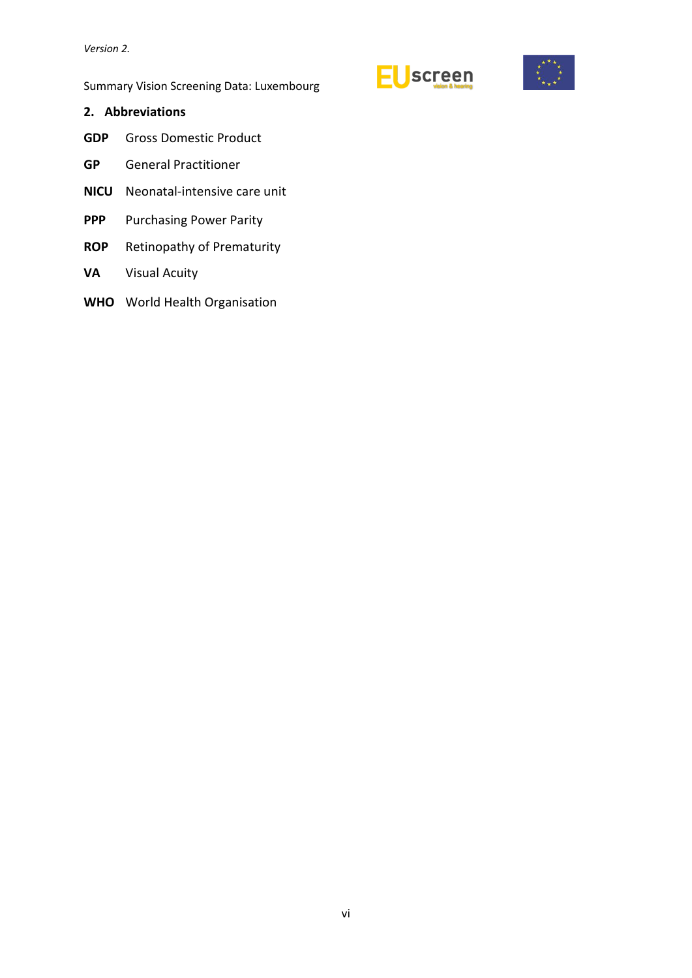# <span id="page-5-0"></span>**2. Abbreviations**

- **GDP** Gross Domestic Product
- **GP** General Practitioner
- **NICU** Neonatal-intensive care unit
- **PPP** Purchasing Power Parity
- **ROP** Retinopathy of Prematurity
- **VA** Visual Acuity
- **WHO** World Health Organisation



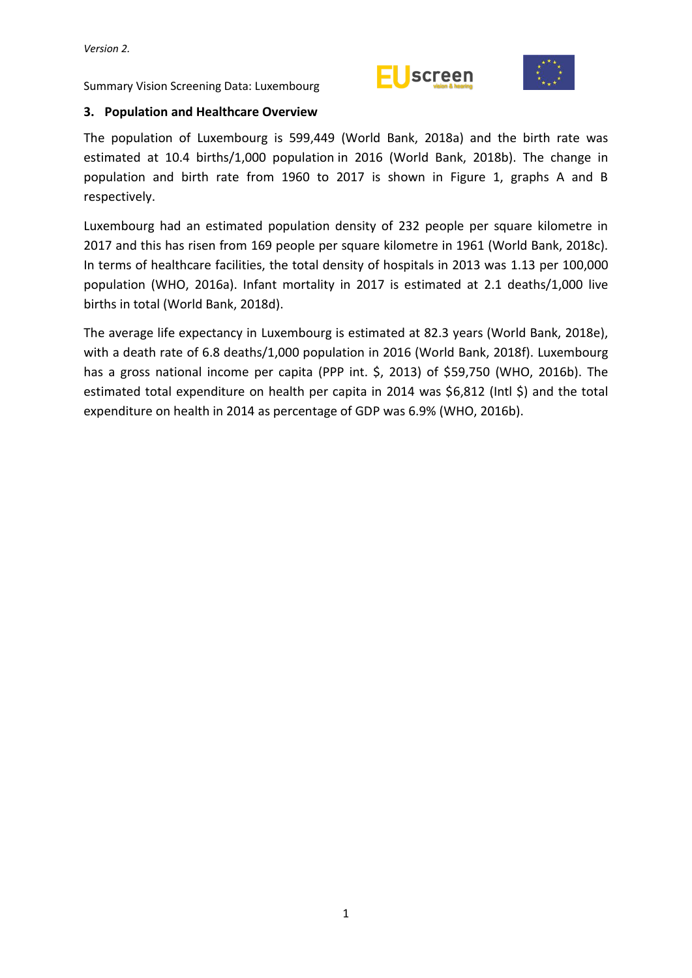



# <span id="page-6-0"></span>**3. Population and Healthcare Overview**

The population of Luxembourg is 599,449 (World Bank, 2018a) and the birth rate was estimated at 10.4 births/1,000 population in 2016 (World Bank, 2018b). The change in population and birth rate from 1960 to 2017 is shown in Figure 1, graphs A and B respectively.

Luxembourg had an estimated population density of 232 people per square kilometre in 2017 and this has risen from 169 people per square kilometre in 1961 (World Bank, 2018c). In terms of healthcare facilities, the total density of hospitals in 2013 was 1.13 per 100,000 population (WHO, 2016a). Infant mortality in 2017 is estimated at 2.1 deaths/1,000 live births in total (World Bank, 2018d).

The average life expectancy in Luxembourg is estimated at 82.3 years (World Bank, 2018e), with a death rate of 6.8 deaths/1,000 population in 2016 (World Bank, 2018f). Luxembourg has a gross national income per capita (PPP int. \$, 2013) of \$59,750 (WHO, 2016b). The estimated total expenditure on health per capita in 2014 was \$6,812 (Intl \$) and the total expenditure on health in 2014 as percentage of GDP was 6.9% (WHO, 2016b).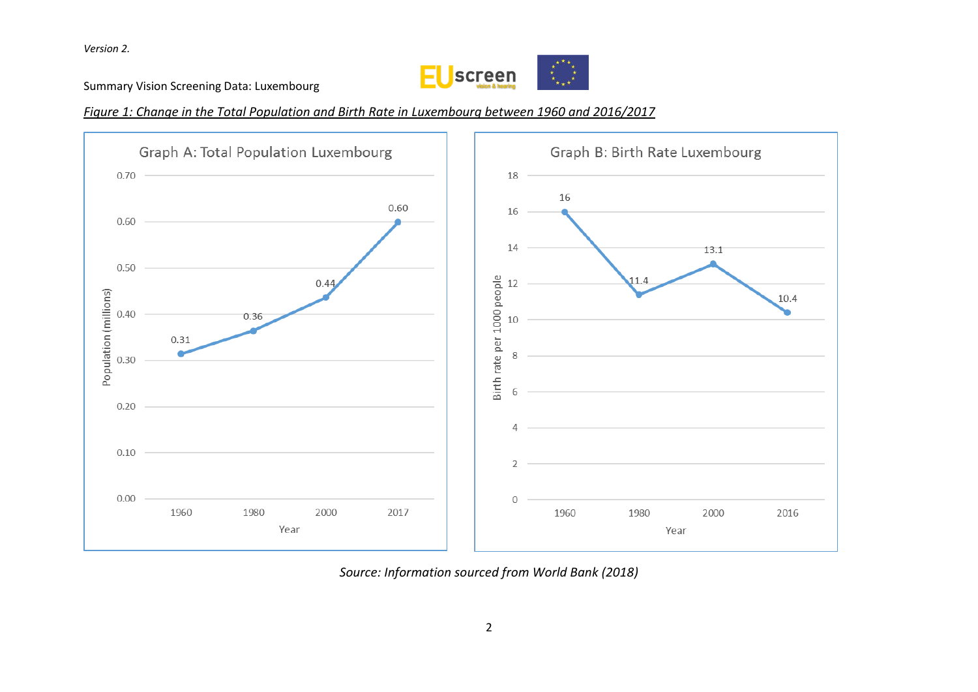

Summary Vision Screening Data: Luxembourg

*Figure 1: Change in the Total Population and Birth Rate in Luxembourg between 1960 and 2016/2017*



*Source: Information sourced from World Bank (2018)*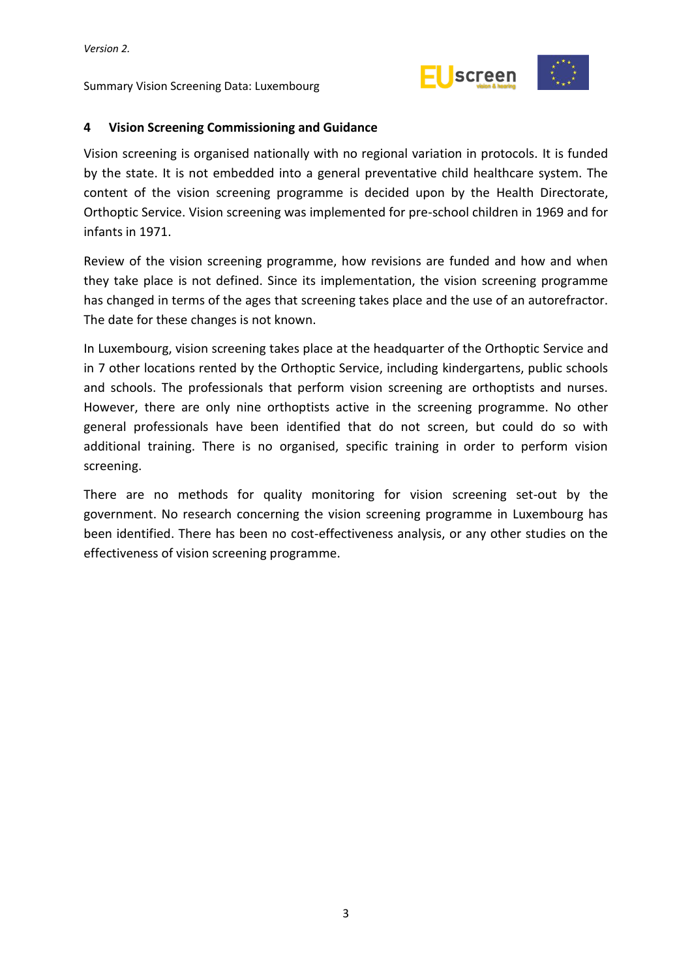

#### <span id="page-8-0"></span>**4 Vision Screening Commissioning and Guidance**

Vision screening is organised nationally with no regional variation in protocols. It is funded by the state. It is not embedded into a general preventative child healthcare system. The content of the vision screening programme is decided upon by the Health Directorate, Orthoptic Service. Vision screening was implemented for pre-school children in 1969 and for infants in 1971.

Review of the vision screening programme, how revisions are funded and how and when they take place is not defined. Since its implementation, the vision screening programme has changed in terms of the ages that screening takes place and the use of an autorefractor. The date for these changes is not known.

In Luxembourg, vision screening takes place at the headquarter of the Orthoptic Service and in 7 other locations rented by the Orthoptic Service, including kindergartens, public schools and schools. The professionals that perform vision screening are orthoptists and nurses. However, there are only nine orthoptists active in the screening programme. No other general professionals have been identified that do not screen, but could do so with additional training. There is no organised, specific training in order to perform vision screening.

There are no methods for quality monitoring for vision screening set-out by the government. No research concerning the vision screening programme in Luxembourg has been identified. There has been no cost-effectiveness analysis, or any other studies on the effectiveness of vision screening programme.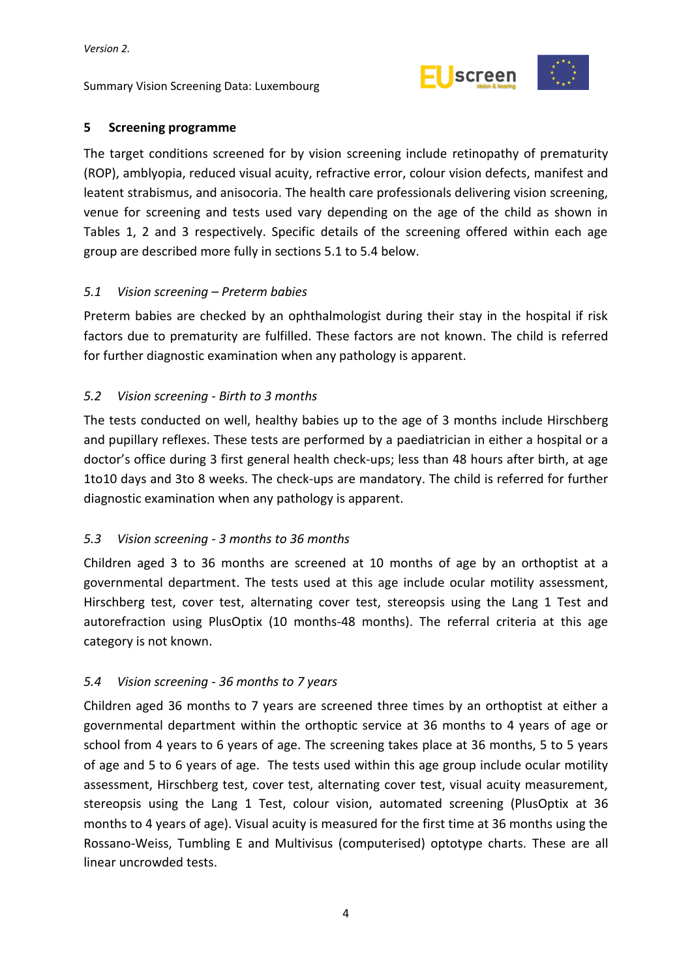

#### <span id="page-9-0"></span>**5 Screening programme**

The target conditions screened for by vision screening include retinopathy of prematurity (ROP), amblyopia, reduced visual acuity, refractive error, colour vision defects, manifest and leatent strabismus, and anisocoria. The health care professionals delivering vision screening, venue for screening and tests used vary depending on the age of the child as shown in Tables 1, 2 and 3 respectively. Specific details of the screening offered within each age group are described more fully in sections 5.1 to 5.4 below.

#### <span id="page-9-1"></span>*5.1 Vision screening – Preterm babies*

Preterm babies are checked by an ophthalmologist during their stay in the hospital if risk factors due to prematurity are fulfilled. These factors are not known. The child is referred for further diagnostic examination when any pathology is apparent.

#### <span id="page-9-2"></span>*5.2 Vision screening - Birth to 3 months*

The tests conducted on well, healthy babies up to the age of 3 months include Hirschberg and pupillary reflexes. These tests are performed by a paediatrician in either a hospital or a doctor's office during 3 first general health check-ups; less than 48 hours after birth, at age 1to10 days and 3to 8 weeks. The check-ups are mandatory. The child is referred for further diagnostic examination when any pathology is apparent.

# <span id="page-9-3"></span>*5.3 Vision screening - 3 months to 36 months*

Children aged 3 to 36 months are screened at 10 months of age by an orthoptist at a governmental department. The tests used at this age include ocular motility assessment, Hirschberg test, cover test, alternating cover test, stereopsis using the Lang 1 Test and autorefraction using PlusOptix (10 months-48 months). The referral criteria at this age category is not known.

# <span id="page-9-4"></span>*5.4 Vision screening - 36 months to 7 years*

Children aged 36 months to 7 years are screened three times by an orthoptist at either a governmental department within the orthoptic service at 36 months to 4 years of age or school from 4 years to 6 years of age. The screening takes place at 36 months, 5 to 5 years of age and 5 to 6 years of age. The tests used within this age group include ocular motility assessment, Hirschberg test, cover test, alternating cover test, visual acuity measurement, stereopsis using the Lang 1 Test, colour vision, automated screening (PlusOptix at 36 months to 4 years of age). Visual acuity is measured for the first time at 36 months using the Rossano-Weiss, Tumbling E and Multivisus (computerised) optotype charts. These are all linear uncrowded tests.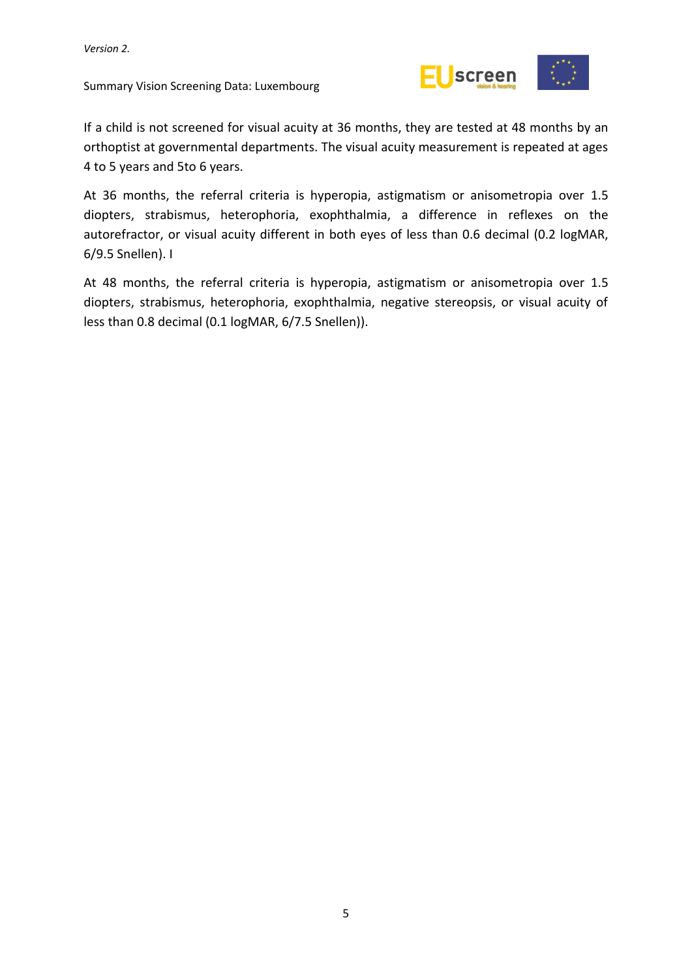

If a child is not screened for visual acuity at 36 months, they are tested at 48 months by an orthoptist at governmental departments. The visual acuity measurement is repeated at ages 4 to 5 years and 5to 6 years.

At 36 months, the referral criteria is hyperopia, astigmatism or anisometropia over 1.5 diopters, strabismus, heterophoria, exophthalmia, a difference in reflexes on the autorefractor, or visual acuity different in both eyes of less than 0.6 decimal (0.2 logMAR, 6/9.5 Snellen). I

At 48 months, the referral criteria is hyperopia, astigmatism or anisometropia over 1.5 diopters, strabismus, heterophoria, exophthalmia, negative stereopsis, or visual acuity of less than 0.8 decimal (0.1 logMAR, 6/7.5 Snellen)).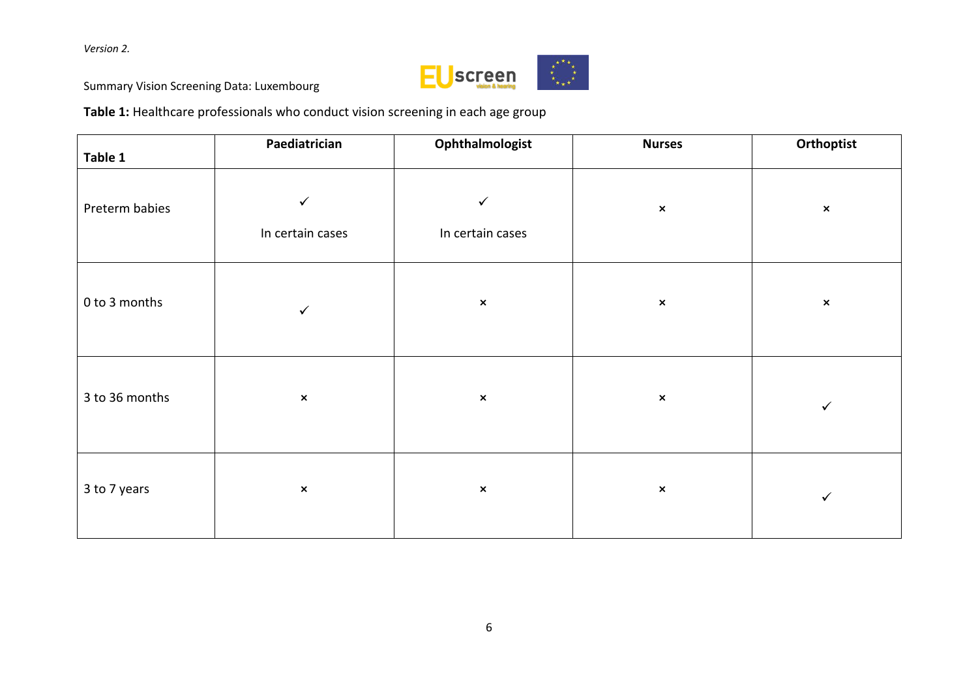

Summary Vision Screening Data: Luxembourg

**Table 1:** Healthcare professionals who conduct vision screening in each age group

| Table 1        | Paediatrician                    | Ophthalmologist                  | <b>Nurses</b>  | Orthoptist     |
|----------------|----------------------------------|----------------------------------|----------------|----------------|
| Preterm babies | $\checkmark$<br>In certain cases | $\checkmark$<br>In certain cases | $\pmb{\times}$ | $\pmb{\times}$ |
| 0 to 3 months  | $\checkmark$                     | $\pmb{\times}$                   | $\pmb{\times}$ | $\pmb{\times}$ |
| 3 to 36 months | $\pmb{\times}$                   | $\pmb{\times}$                   | $\pmb{\times}$ | $\checkmark$   |
| 3 to 7 years   | $\pmb{\times}$                   | $\pmb{\times}$                   | $\pmb{\times}$ | $\checkmark$   |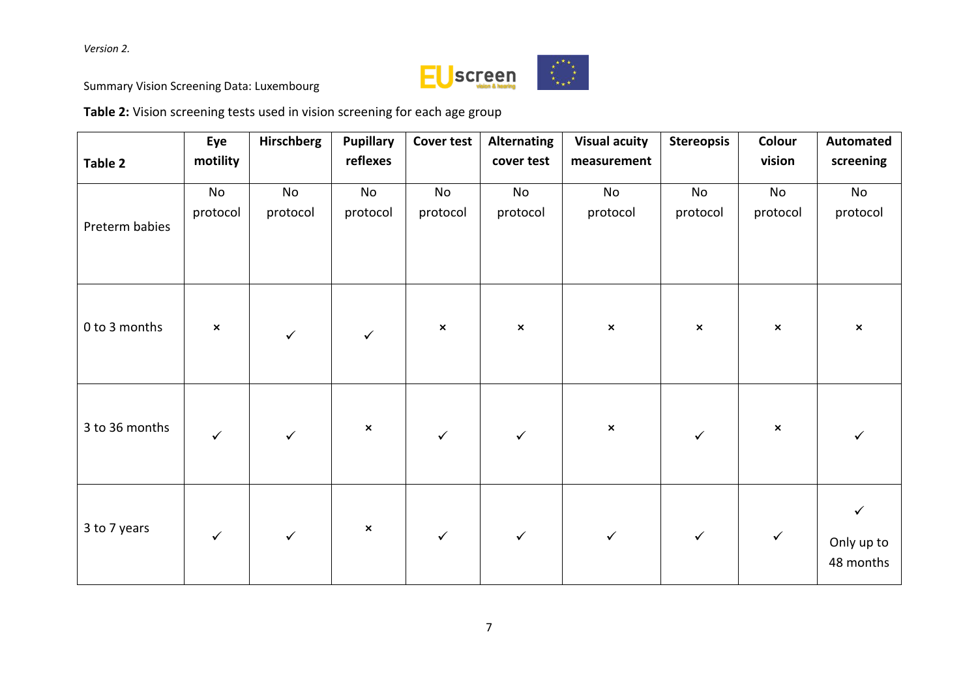

Summary Vision Screening Data: Luxembourg

**Table 2:** Vision screening tests used in vision screening for each age group

| Table 2        | Eye<br>motility           | <b>Hirschberg</b> | <b>Pupillary</b><br>reflexes | <b>Cover test</b> | <b>Alternating</b><br>cover test | <b>Visual acuity</b><br>measurement | <b>Stereopsis</b> | Colour<br>vision | <b>Automated</b><br>screening |
|----------------|---------------------------|-------------------|------------------------------|-------------------|----------------------------------|-------------------------------------|-------------------|------------------|-------------------------------|
| Preterm babies | No<br>protocol            | No<br>protocol    | No<br>protocol               | No<br>protocol    | No<br>protocol                   | No<br>protocol                      | No<br>protocol    | No<br>protocol   | No<br>protocol                |
| 0 to 3 months  | $\boldsymbol{\mathsf{x}}$ | $\checkmark$      | $\checkmark$                 | $\pmb{\times}$    | $\pmb{\times}$                   | $\pmb{\times}$                      | $\pmb{\times}$    | $\pmb{\times}$   | $\pmb{\times}$                |
| 3 to 36 months | $\checkmark$              | $\checkmark$      | $\pmb{\times}$               | $\checkmark$      |                                  | $\pmb{\times}$                      |                   | $\pmb{\times}$   |                               |
| 3 to 7 years   | $\checkmark$              | $\checkmark$      | $\pmb{\times}$               | $\checkmark$      | $\checkmark$                     | $\checkmark$                        | $\checkmark$      | $\checkmark$     | Only up to<br>48 months       |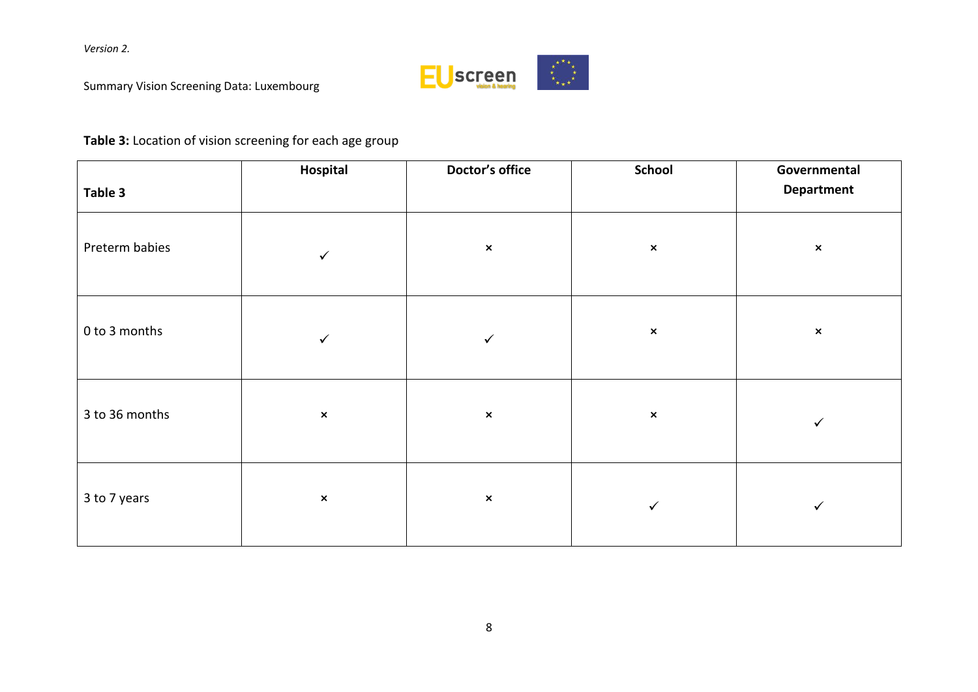

Summary Vision Screening Data: Luxembourg

# **Table 3:** Location of vision screening for each age group

|                | Hospital       | Doctor's office | <b>School</b>  | Governmental      |
|----------------|----------------|-----------------|----------------|-------------------|
| Table 3        |                |                 |                | <b>Department</b> |
| Preterm babies | ✓              | $\pmb{\times}$  | $\pmb{\times}$ | $\pmb{\times}$    |
| 0 to 3 months  | ✓              | ✓               | $\pmb{\times}$ | $\pmb{\times}$    |
| 3 to 36 months | $\pmb{\times}$ | $\pmb{\times}$  | $\pmb{\times}$ | $\checkmark$      |
| 3 to 7 years   | $\pmb{\times}$ | $\pmb{\times}$  | $\checkmark$   | ✓                 |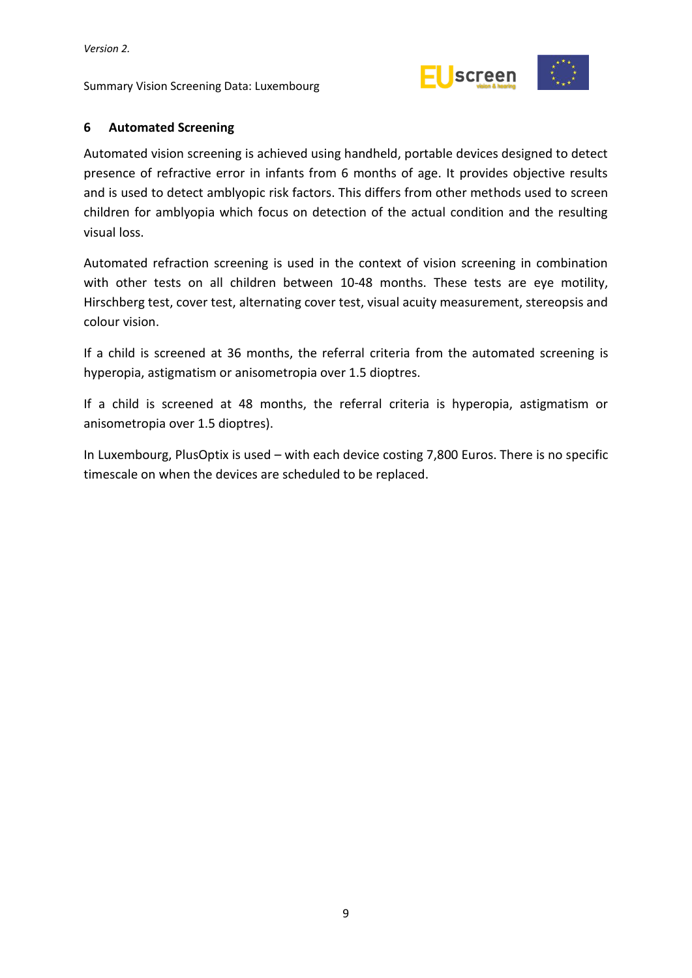Summary Vision Screening Data: Luxembourg



# <span id="page-14-0"></span>**6 Automated Screening**

Automated vision screening is achieved using handheld, portable devices designed to detect presence of refractive error in infants from 6 months of age. It provides objective results and is used to detect amblyopic risk factors. This differs from other methods used to screen children for amblyopia which focus on detection of the actual condition and the resulting visual loss.

Automated refraction screening is used in the context of vision screening in combination with other tests on all children between 10-48 months. These tests are eye motility, Hirschberg test, cover test, alternating cover test, visual acuity measurement, stereopsis and colour vision.

If a child is screened at 36 months, the referral criteria from the automated screening is hyperopia, astigmatism or anisometropia over 1.5 dioptres.

If a child is screened at 48 months, the referral criteria is hyperopia, astigmatism or anisometropia over 1.5 dioptres).

In Luxembourg, PlusOptix is used – with each device costing 7,800 Euros. There is no specific timescale on when the devices are scheduled to be replaced.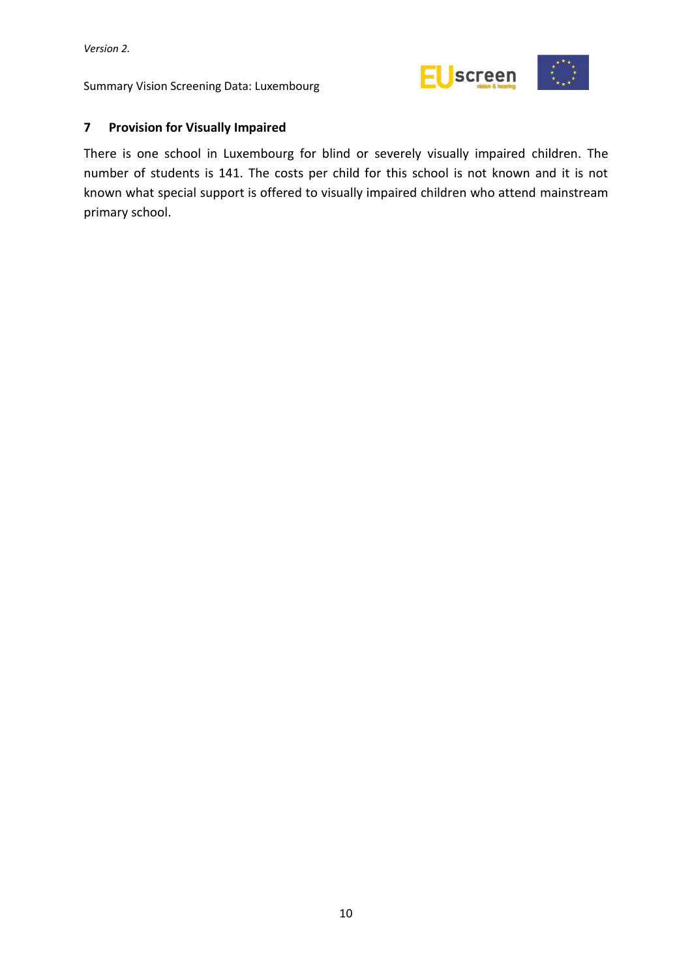Summary Vision Screening Data: Luxembourg



# <span id="page-15-0"></span>**7 Provision for Visually Impaired**

There is one school in Luxembourg for blind or severely visually impaired children. The number of students is 141. The costs per child for this school is not known and it is not known what special support is offered to visually impaired children who attend mainstream primary school.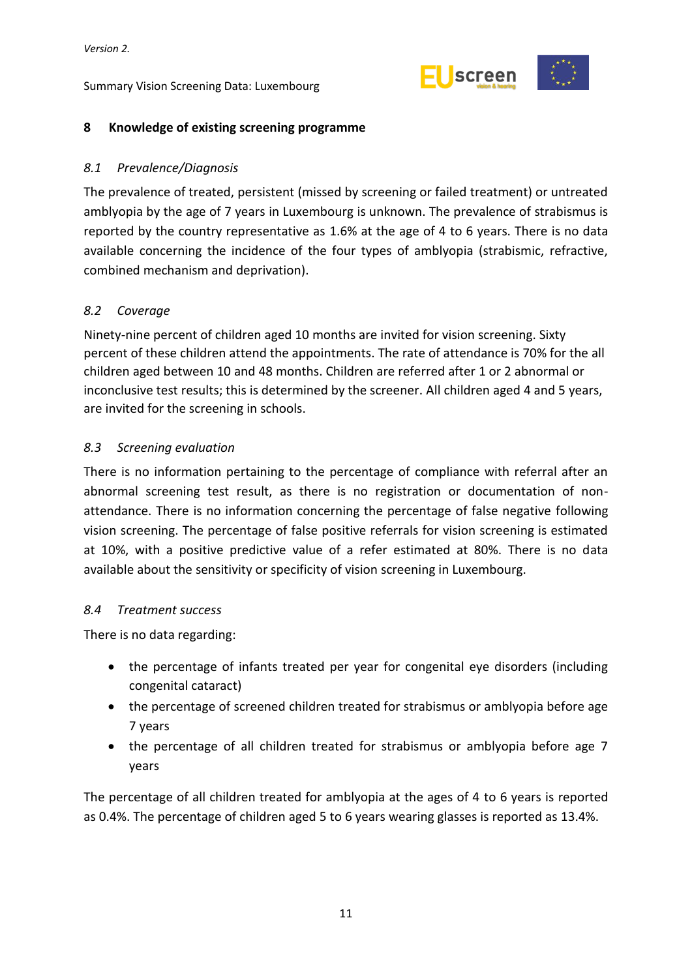

# <span id="page-16-0"></span>**8 Knowledge of existing screening programme**

# <span id="page-16-1"></span>*8.1 Prevalence/Diagnosis*

The prevalence of treated, persistent (missed by screening or failed treatment) or untreated amblyopia by the age of 7 years in Luxembourg is unknown. The prevalence of strabismus is reported by the country representative as 1.6% at the age of 4 to 6 years. There is no data available concerning the incidence of the four types of amblyopia (strabismic, refractive, combined mechanism and deprivation).

# <span id="page-16-2"></span>*8.2 Coverage*

Ninety-nine percent of children aged 10 months are invited for vision screening. Sixty percent of these children attend the appointments. The rate of attendance is 70% for the all children aged between 10 and 48 months. Children are referred after 1 or 2 abnormal or inconclusive test results; this is determined by the screener. All children aged 4 and 5 years, are invited for the screening in schools.

# <span id="page-16-3"></span>*8.3 Screening evaluation*

There is no information pertaining to the percentage of compliance with referral after an abnormal screening test result, as there is no registration or documentation of nonattendance. There is no information concerning the percentage of false negative following vision screening. The percentage of false positive referrals for vision screening is estimated at 10%, with a positive predictive value of a refer estimated at 80%. There is no data available about the sensitivity or specificity of vision screening in Luxembourg.

# <span id="page-16-4"></span>*8.4 Treatment success*

There is no data regarding:

- the percentage of infants treated per year for congenital eye disorders (including congenital cataract)
- the percentage of screened children treated for strabismus or amblyopia before age 7 years
- the percentage of all children treated for strabismus or amblyopia before age 7 years

The percentage of all children treated for amblyopia at the ages of 4 to 6 years is reported as 0.4%. The percentage of children aged 5 to 6 years wearing glasses is reported as 13.4%.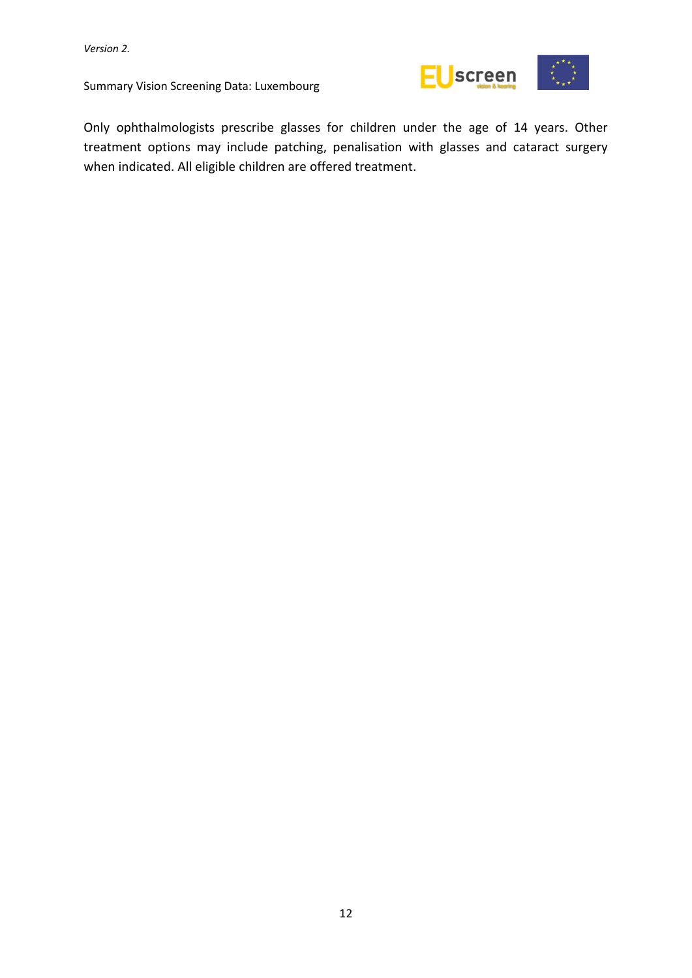

Only ophthalmologists prescribe glasses for children under the age of 14 years. Other treatment options may include patching, penalisation with glasses and cataract surgery when indicated. All eligible children are offered treatment.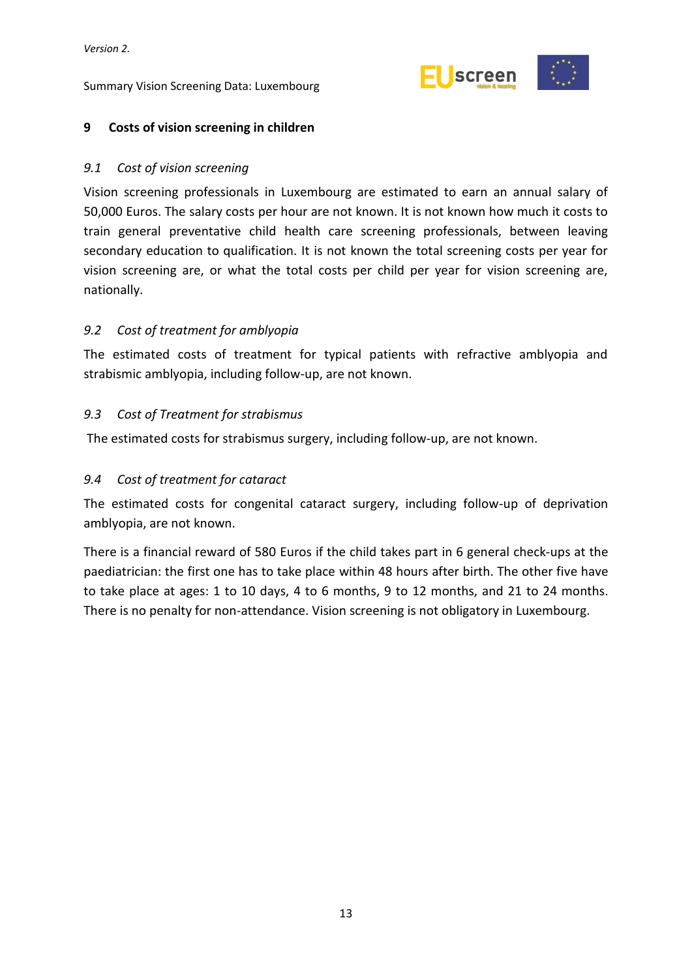

#### <span id="page-18-0"></span>**9 Costs of vision screening in children**

#### <span id="page-18-1"></span>*9.1 Cost of vision screening*

Vision screening professionals in Luxembourg are estimated to earn an annual salary of 50,000 Euros. The salary costs per hour are not known. It is not known how much it costs to train general preventative child health care screening professionals, between leaving secondary education to qualification. It is not known the total screening costs per year for vision screening are, or what the total costs per child per year for vision screening are, nationally.

#### <span id="page-18-2"></span>*9.2 Cost of treatment for amblyopia*

The estimated costs of treatment for typical patients with refractive amblyopia and strabismic amblyopia, including follow-up, are not known.

#### <span id="page-18-3"></span>*9.3 Cost of Treatment for strabismus*

The estimated costs for strabismus surgery, including follow-up, are not known.

#### <span id="page-18-4"></span>*9.4 Cost of treatment for cataract*

The estimated costs for congenital cataract surgery, including follow-up of deprivation amblyopia, are not known.

There is a financial reward of 580 Euros if the child takes part in 6 general check-ups at the paediatrician: the first one has to take place within 48 hours after birth. The other five have to take place at ages: 1 to 10 days, 4 to 6 months, 9 to 12 months, and 21 to 24 months. There is no penalty for non-attendance. Vision screening is not obligatory in Luxembourg.